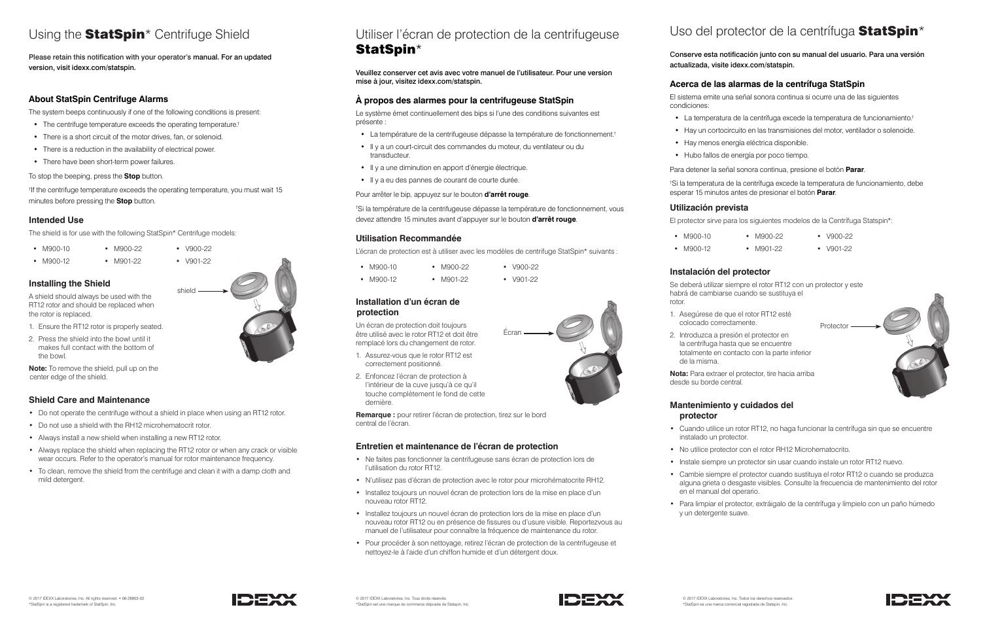## Using the **StatSpin**<sup>\*</sup> Centrifuge Shield

Please retain this notification with your operator's manual. For an updated version, visit idexx.com/statspin.

#### **About StatSpin Centrifuge Alarms**

The system beeps continuously if one of the following conditions is present:

- The centrifuge temperature exceeds the operating temperature.†
- There is a short circuit of the motor drives, fan, or solenoid.
- There is a reduction in the availability of electrical power.
- There have been short-term power failures.

To stop the beeping, press the **Stop** button.

† If the centrifuge temperature exceeds the operating temperature, you must wait 15 minutes before pressing the **Stop** button.

#### **Intended Use**

The shield is for use with the following StatSpin\* Centrifuge models:

- M900-10 • M900-22
- M900-12
- M901-22 • V901-22

• V900-22

**Installing the Shield**

A shield should always be used with the RT12 rotor and should be replaced when the rotor is replaced.

Le système émet continuellement des bips si l'une des conditions suivantes est présente :

- 1. Ensure the RT12 rotor is properly seated.
- 2. Press the shield into the bowl until it makes full contact with the bottom of the bowl.

**Note:** To remove the shield, pull up on the center edge of the shield.

#### **Shield Care and Maintenance**

- Do not operate the centrifuge without a shield in place when using an RT12 rotor.
- Do not use a shield with the RH12 microhematocrit rotor.
- Always install a new shield when installing a new RT12 rotor.
- Always replace the shield when replacing the RT12 rotor or when any crack or visible wear occurs. Refer to the operator's manual for rotor maintenance frequency.
- To clean, remove the shield from the centrifuge and clean it with a damp cloth and mild detergent.





## Utiliser l'écran de protection de la centrifugeuse StatSpin\*

Veuillez conserver cet avis avec votre manuel de l'utilisateur. Pour une version mise à jour, visitez idexx.com/statspin.

#### **À propos des alarmes pour la centrifugeuse StatSpin**



- La température de la centrifugeuse dépasse la température de fonctionnement.†
- Il y a un court-circuit des commandes du moteur, du ventilateur ou du transducteur.
- Il y a une diminution en apport d'énergie électrique.
- Il y a eu des pannes de courant de courte durée.

Pour arrêter le bip, appuyez sur le bouton **d'arrêt rouge**.

† Si la température de la centrifugeuse dépasse la température de fonctionnement, vous devez attendre 15 minutes avant d'appuyer sur le bouton **d'arrêt rouge**.

#### **Utilisation Recommandée**

L'écran de protection est à utiliser avec les modèles de centrifuge StatSpin\* suivants :

- M900-10 • M900-22
- M900-12 • M901-22
- **Installation d'un écran de protection**

• V900-22 • V901-22

Un écran de protection doit toujours être utilisé avec le rotor RT12 et doit être remplacé lors du changement de rotor.

- 1. Assurez-vous que le rotor RT12 est correctement positionné.
- 2. Enfoncez l'écran de protection à l'intérieur de la cuve jusqu'à ce qu'il touche complètement le fond de cette dernière.

**Remarque :** pour retirer l'écran de protection, tirez sur le bord central de l'écran.

#### **Entretien et maintenance de l'écran de protection**

- Ne faites pas fonctionner la centrifugeuse sans écran de protection lors de l'utilisation du rotor RT12.
- N'utilisez pas d'écran de protection avec le rotor pour microhématocrite RH12.
- Installez toujours un nouvel écran de protection lors de la mise en place d'un nouveau rotor RT12.
- Installez toujours un nouvel écran de protection lors de la mise en place d'un nouveau rotor RT12 ou en présence de fissures ou d'usure visible. Reportezvous au manuel de l'utilisateur pour connaître la fréquence de maintenance du rotor.
- Pour procéder à son nettoyage, retirez l'écran de protection de la centrifugeuse et nettoyez-le à l'aide d'un chiffon humide et d'un détergent doux.

## Uso del protector de la centrífuga **StatSpin**\*



#### Conserve esta notificación junto con su manual del usuario. Para una versión actualizada, visite idexx.com/statspin.

#### **Acerca de las alarmas de la centrífuga StatSpin**

El sistema emite una señal sonora continua si ocurre una de las siguientes

condiciones:

- 
- 
- 
- 

- La temperatura de la centrífuga excede la temperatura de funcionamiento.†
- Hay un cortocircuito en las transmisiones del motor, ventilador o solenoide.
- Hay menos energía eléctrica disponible.
- Hubo fallos de energía por poco tiempo.
- Para detener la señal sonora continua, presione el botón **Parar**.
- † Si la temperatura de la centrífuga excede la temperatura de funcionamiento, debe esperar 15 minutos antes de presionar el botón **Parar**.

#### **Utilización prevista**

El protector sirve para los siguientes modelos de la Centrífuga Statspin\*:

- M900-10
- M900-12

#### **Instalación del protector**

rotor.

- M900-22
- V900-22 • V901-22
- M901-22
- 
- Se deberá utilizar siempre el rotor RT12 con un protector y este habrá de cambiarse cuando se sustituya el
- 2. Introduzca a presión el protector en la centrífuga hasta que se encuentre
- totalmente en contacto con la parte inferior
- **Nota:** Para extraer el protector, tire hacia arriba
- 1. Asegúrese de que el rotor RT12 esté colocado correctamente.
- de la misma.

desde su borde central.

#### **Mantenimiento y cuidados del**

# **protector**

• Cuando utilice un rotor RT12, no haga funcionar la centrífuga sin que se encuentre

- No utilice protector con el rotor RH12 Microhematocrito.
- Instale siempre un protector sin usar cuando instale un rotor RT12 nuevo.
- Cambie siempre el protector cuando sustituya el rotor RT12 o cuando se produzca alguna grieta o desgaste visibles. Consulte la frecuencia de mantenimiento del rotor
- instalado un protector.
- 
- 
- en el manual del operario.
- Para limpiar el protector, extráigalo de la centrífuga y límpielo con un paño húmedo y un detergente suave.